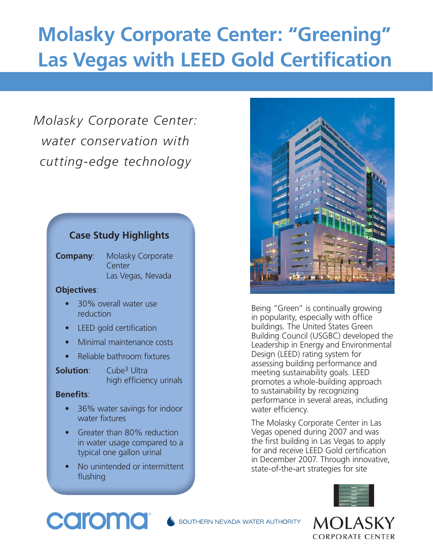## **Molasky Corporate Center: "Greening" Las Vegas with LEED Gold Certification**

### *Molasky Corporate Center: water conservation with cutting-edge technology*

### **Case Study Highlights**

**Company**: Molasky Corporate **Center** Las Vegas, Nevada

### **Objectives**:

- 30% overall water use reduction
- **LEED** gold certification
- Minimal maintenance costs
- $\bullet$  Reliable bathroom fixtures
- **Solution**: Cube<sup>3</sup> Ultra high efficiency urinals

### **Benefits:**

- 36% water savings for indoor water fixtures
- Greater than 80% reduction in water usage compared to a typical one gallon urinal
- No unintended or intermittent flushing



Being "Green" is continually growing in popularity, especially with office buildings. The United States Green Building Council (USGBC) developed the Leadership in Energy and Environmental Design (LEED) rating system for assessing building performance and meeting sustainability goals. LEED promotes a whole-building approach to sustainability by recognizing performance in several areas, including water efficiency.

The Molasky Corporate Center in Las Vegas opened during 2007 and was the first building in Las Vegas to apply for and receive LEED Gold certification in December 2007. Through innovative, state-of-the-art strategies for site



### caroma

SOUTHERN NEVADA WATER AUTHORITY

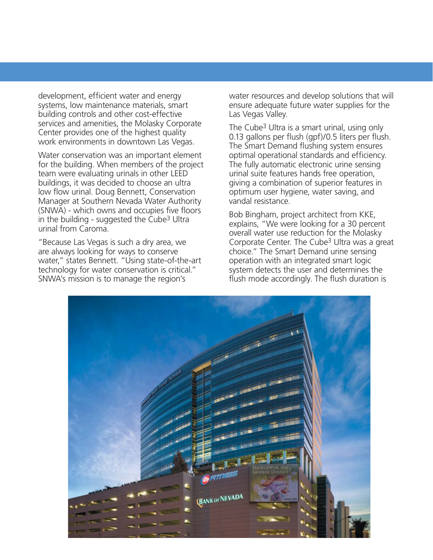development, efficient water and energy systems, low maintenance materials, smart building controls and other cost-effective services and amenities, the Molasky Corporate Center provides one of the highest quality work environments in downtown Las Vegas.

Water conservation was an important element for the building. When members of the project team were evaluating urinals in other LEED buildings, it was decided to choose an ultra low flow urinal. Doug Bennett, Conservation Manager at Southern Nevada Water Authority  $(SNWA)$  - which owns and occupies five floors in the building - suggested the Cube3 Ultra urinal from Caroma.

"Because Las Vegas is such a dry area, we are always looking for ways to conserve water," states Bennett. "Using state-of-the-art technology for water conservation is critical." SNWA's mission is to manage the region's

water resources and develop solutions that will ensure adequate future water supplies for the Las Vegas Valley.

The Cube<sup>3</sup> Ultra is a smart urinal, using only 0.13 gallons per flush (gpf)/0.5 liters per flush. The Smart Demand flushing system ensures optimal operational standards and efficiency. The fully automatic electronic urine sensing urinal suite features hands free operation, giving a combination of superior features in optimum user hygiene, water saving, and vandal resistance.

Bob Bingham, project architect from KKE, explains, "We were looking for a 30 percent overall water use reduction for the Molasky Corporate Center. The Cube<sup>3</sup> Ultra was a great choice." The Smart Demand urine sensing operation with an integrated smart logic system detects the user and determines the flush mode accordingly. The flush duration is

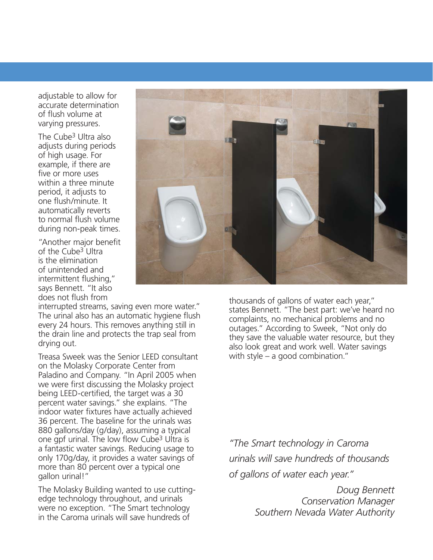adjustable to allow for accurate determination of flush volume at varying pressures.

The Cube3 Ultra also adjusts during periods of high usage. For example, if there are five or more uses within a three minute period, it adjusts to one flush/minute. It automatically reverts to normal flush volume during non-peak times.

"Another major benefit of the Cube<sup>3</sup> Ultra is the elimination of unintended and intermittent flushing," says Bennett. "It also does not flush from

interrupted streams, saving even more water." The urinal also has an automatic hygiene flush every 24 hours. This removes anything still in the drain line and protects the trap seal from drying out.

Treasa Sweek was the Senior LEED consultant on the Molasky Corporate Center from Paladino and Company. "In April 2005 when we were first discussing the Molasky project being LEED-certified, the target was a 30 percent water savings." she explains. "The indoor water fixtures have actually achieved 36 percent. The baseline for the urinals was 880 gallons/day (g/day), assuming a typical one gpf urinal. The low flow Cube<sup>3</sup> Ultra is a fantastic water savings. Reducing usage to only 170g/day, it provides a water savings of more than 80 percent over a typical one gallon urinal!"

The Molasky Building wanted to use cuttingedge technology throughout, and urinals were no exception. "The Smart technology in the Caroma urinals will save hundreds of



thousands of gallons of water each year," states Bennett. "The best part: we've heard no complaints, no mechanical problems and no outages." According to Sweek, "Not only do they save the valuable water resource, but they also look great and work well. Water savings with style – a good combination."

*"The Smart technology in Caroma urinals will save hundreds of thousands of gallons of water each year."*

> *Doug Bennett Conservation Manager Southern Nevada Water Authority*